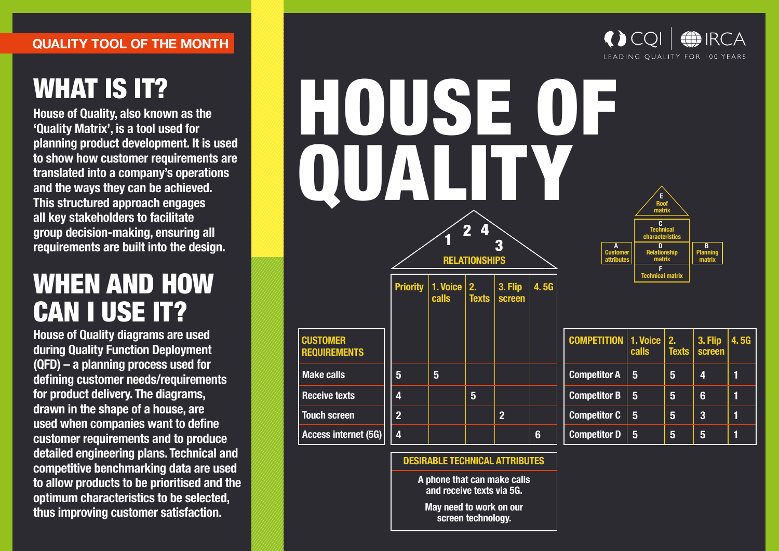#### **QUALITY TOOL OF THE MONTH**

# WHAT IS IT?

**House of Quality, also known as the 'Quality Matrix', is a tool used for planning product development. It is used**  to show how customer requirements are **translated into a company's operations and the ways they can be achieved. This structured approach engages all key stakeholders to facilitate group decision-making, ensuring all requirements are built into the design.** 

## WHEN AND HOW CAN I USE IT?

**House of Quality diagrams are used during Quality Function Deployment (QFD) – a planning process used for**  defining customer needs/requirements **for product delivery. The diagrams, drawn in the shape of a house, are used when companies want to define Customer requirements and to produce detailed engineering plans. Technical and competitive benchmarking data are used to allow products to be prioritised and the optimum characteristics to be selected, thus improving customer satisfaction.** 





**DESIRABLE TECHNICAL ATTRIBUTES**

**A phone that can make calls and receive texts via 5G.**

**May need to work on our screen technology.**